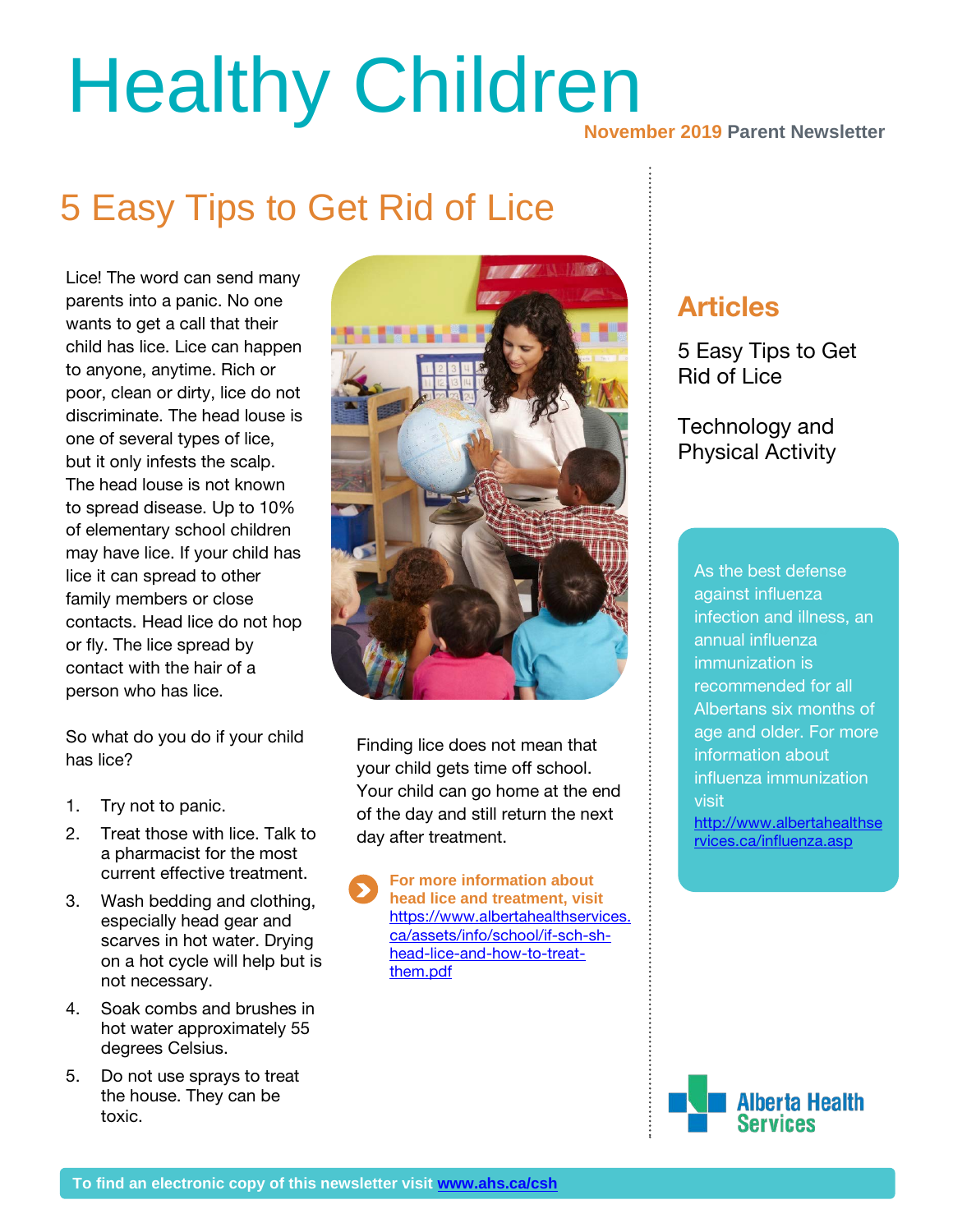# Healthy Children<br>November 2019 Parent Newsletter

## 5 Easy Tips to Get Rid of Lice

Lice! The word can send many parents into a panic. No one wants to get a call that their child has lice. Lice can happen to anyone, anytime. Rich or poor, clean or dirty, lice do not discriminate. The head louse is one of several types of lice, but it only infests the scalp. The head louse is not known to spread disease. Up to 10% of elementary school children may have lice. If your child has lice it can spread to other family members or close contacts. Head lice do not hop or fly. The lice spread by contact with the hair of a person who has lice.

So what do you do if your child has lice?

- 1. Try not to panic.
- 2. Treat those with lice. Talk to a pharmacist for the most current effective treatment.
- 3. Wash bedding and clothing, especially head gear and scarves in hot water. Drying on a hot cycle will help but is not necessary.
- 4. Soak combs and brushes in hot water approximately 55 degrees Celsius.
- 5. Do not use sprays to treat the house. They can be toxic.



Finding lice does not mean that your child gets time off school. Your child can go home at the end of the day and still return the next day after treatment.

**For more information about head lice and treatment, visit** [https://www.albertahealthservices.](https://www.albertahealthservices.ca/assets/info/school/if-sch-sh-head-lice-and-how-to-treat-them.pdf) [ca/assets/info/school/if-sch-sh](https://www.albertahealthservices.ca/assets/info/school/if-sch-sh-head-lice-and-how-to-treat-them.pdf)[head-lice-and-how-to-treat](https://www.albertahealthservices.ca/assets/info/school/if-sch-sh-head-lice-and-how-to-treat-them.pdf)[them.pdf](https://www.albertahealthservices.ca/assets/info/school/if-sch-sh-head-lice-and-how-to-treat-them.pdf)

### Articles

5 Easy Tips to Get Rid of Lice

Technology and Physical Activity

**30%** information about **\$10,000** annual influenza As the best defense against influenza infection and illness, an immunization is recommended for all Albertans six months of age and older. For more influenza immunization visit [http://www.albertahealthse](http://www.albertahealthservices.ca/influenza.asp)

[rvices.ca/influenza.asp](http://www.albertahealthservices.ca/influenza.asp)